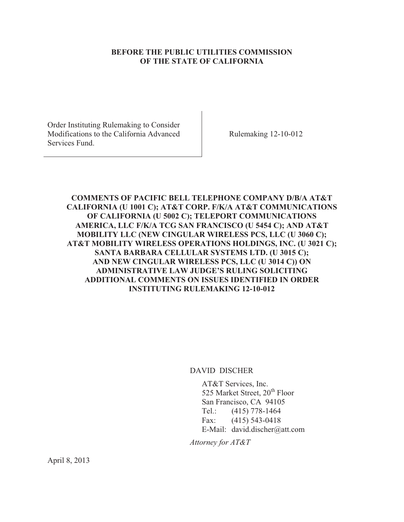## **BEFORE THE PUBLIC UTILITIES COMMISSION OF THE STATE OF CALIFORNIA**

Order Instituting Rulemaking to Consider Modifications to the California Advanced Services Fund.

Rulemaking 12-10-012

## **COMMENTS OF PACIFIC BELL TELEPHONE COMPANY D/B/A AT&T CALIFORNIA (U 1001 C); AT&T CORP. F/K/A AT&T COMMUNICATIONS OF CALIFORNIA (U 5002 C); TELEPORT COMMUNICATIONS AMERICA, LLC F/K/A TCG SAN FRANCISCO (U 5454 C); AND AT&T MOBILITY LLC (NEW CINGULAR WIRELESS PCS, LLC (U 3060 C); AT&T MOBILITY WIRELESS OPERATIONS HOLDINGS, INC. (U 3021 C); SANTA BARBARA CELLULAR SYSTEMS LTD. (U 3015 C); AND NEW CINGULAR WIRELESS PCS, LLC (U 3014 C)) ON ADMINISTRATIVE LAW JUDGE'S RULING SOLICITING ADDITIONAL COMMENTS ON ISSUES IDENTIFIED IN ORDER INSTITUTING RULEMAKING 12-10-012**

DAVID DISCHER

AT&T Services, Inc. 525 Market Street, 20<sup>th</sup> Floor San Francisco, CA 94105 Tel.: (415) 778-1464 Fax: (415) 543-0418 E-Mail: david.discher@att.com

*Attorney for AT&T*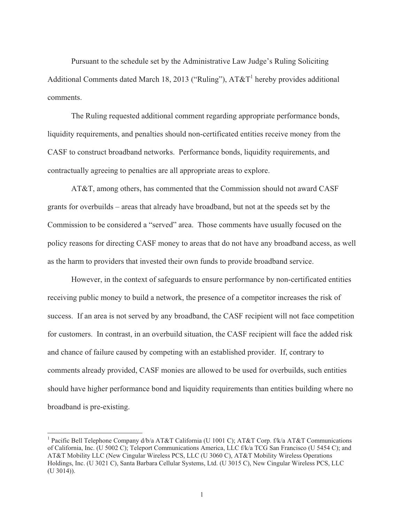Pursuant to the schedule set by the Administrative Law Judge's Ruling Soliciting Additional Comments dated March 18, 2013 ("Ruling"),  $AT&T<sup>1</sup>$  hereby provides additional comments.

The Ruling requested additional comment regarding appropriate performance bonds, liquidity requirements, and penalties should non-certificated entities receive money from the CASF to construct broadband networks. Performance bonds, liquidity requirements, and contractually agreeing to penalties are all appropriate areas to explore.

AT&T, among others, has commented that the Commission should not award CASF grants for overbuilds – areas that already have broadband, but not at the speeds set by the Commission to be considered a "served" area. Those comments have usually focused on the policy reasons for directing CASF money to areas that do not have any broadband access, as well as the harm to providers that invested their own funds to provide broadband service.

However, in the context of safeguards to ensure performance by non-certificated entities receiving public money to build a network, the presence of a competitor increases the risk of success. If an area is not served by any broadband, the CASF recipient will not face competition for customers. In contrast, in an overbuild situation, the CASF recipient will face the added risk and chance of failure caused by competing with an established provider. If, contrary to comments already provided, CASF monies are allowed to be used for overbuilds, such entities should have higher performance bond and liquidity requirements than entities building where no broadband is pre-existing.

<sup>&</sup>lt;sup>1</sup> Pacific Bell Telephone Company d/b/a AT&T California (U 1001 C); AT&T Corp. f/k/a AT&T Communications of California, Inc. (U 5002 C); Teleport Communications America, LLC f/k/a TCG San Francisco (U 5454 C); and AT&T Mobility LLC (New Cingular Wireless PCS, LLC (U 3060 C), AT&T Mobility Wireless Operations Holdings, Inc. (U 3021 C), Santa Barbara Cellular Systems, Ltd. (U 3015 C), New Cingular Wireless PCS, LLC (U 3014)).